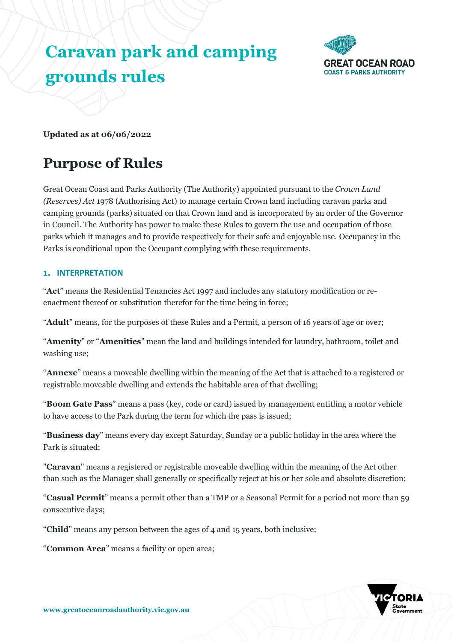# **Caravan park and camping grounds rules**



**Updated as at 06/06/2022**

# **Purpose of Rules**

Great Ocean Coast and Parks Authority (The Authority) appointed pursuant to the *Crown Land (Reserves) Act* 1978 (Authorising Act) to manage certain Crown land including caravan parks and camping grounds (parks) situated on that Crown land and is incorporated by an order of the Governor in Council. The Authority has power to make these Rules to govern the use and occupation of those parks which it manages and to provide respectively for their safe and enjoyable use. Occupancy in the Parks is conditional upon the Occupant complying with these requirements.

# **1. INTERPRETATION**

"**Act**" means the Residential Tenancies Act 1997 and includes any statutory modification or reenactment thereof or substitution therefor for the time being in force;

"**Adult**" means, for the purposes of these Rules and a Permit, a person of 16 years of age or over;

"**Amenity**" or "**Amenities**" mean the land and buildings intended for laundry, bathroom, toilet and washing use;

"**Annexe**" means a moveable dwelling within the meaning of the Act that is attached to a registered or registrable moveable dwelling and extends the habitable area of that dwelling;

"**Boom Gate Pass**" means a pass (key, code or card) issued by management entitling a motor vehicle to have access to the Park during the term for which the pass is issued;

"**Business day**" means every day except Saturday, Sunday or a public holiday in the area where the Park is situated;

"**Caravan**" means a registered or registrable moveable dwelling within the meaning of the Act other than such as the Manager shall generally or specifically reject at his or her sole and absolute discretion;

"**Casual Permit**" means a permit other than a TMP or a Seasonal Permit for a period not more than 59 consecutive days;

"**Child**" means any person between the ages of 4 and 15 years, both inclusive;

"**Common Area**" means a facility or open area;

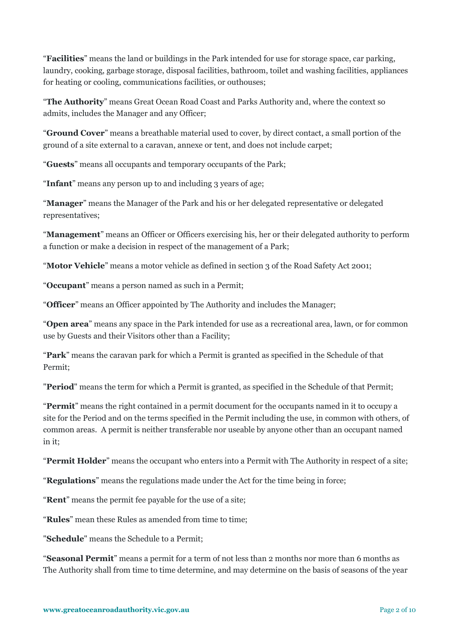"**Facilities**" means the land or buildings in the Park intended for use for storage space, car parking, laundry, cooking, garbage storage, disposal facilities, bathroom, toilet and washing facilities, appliances for heating or cooling, communications facilities, or outhouses;

"**The Authority**" means Great Ocean Road Coast and Parks Authority and, where the context so admits, includes the Manager and any Officer;

"**Ground Cover**" means a breathable material used to cover, by direct contact, a small portion of the ground of a site external to a caravan, annexe or tent, and does not include carpet;

"**Guests**" means all occupants and temporary occupants of the Park;

"**Infant**" means any person up to and including 3 years of age;

"**Manager**" means the Manager of the Park and his or her delegated representative or delegated representatives;

"**Management**" means an Officer or Officers exercising his, her or their delegated authority to perform a function or make a decision in respect of the management of a Park;

"**Motor Vehicle**" means a motor vehicle as defined in section 3 of the Road Safety Act 2001;

"**Occupant**" means a person named as such in a Permit;

"**Officer**" means an Officer appointed by The Authority and includes the Manager;

"**Open area**" means any space in the Park intended for use as a recreational area, lawn, or for common use by Guests and their Visitors other than a Facility;

"**Park**" means the caravan park for which a Permit is granted as specified in the Schedule of that Permit;

"**Period**" means the term for which a Permit is granted, as specified in the Schedule of that Permit;

"**Permit**" means the right contained in a permit document for the occupants named in it to occupy a site for the Period and on the terms specified in the Permit including the use, in common with others, of common areas. A permit is neither transferable nor useable by anyone other than an occupant named in it;

"**Permit Holder**" means the occupant who enters into a Permit with The Authority in respect of a site;

"**Regulations**" means the regulations made under the Act for the time being in force;

"**Rent**" means the permit fee payable for the use of a site;

"**Rules**" mean these Rules as amended from time to time;

"**Schedule**" means the Schedule to a Permit;

"**Seasonal Permit**" means a permit for a term of not less than 2 months nor more than 6 months as The Authority shall from time to time determine, and may determine on the basis of seasons of the year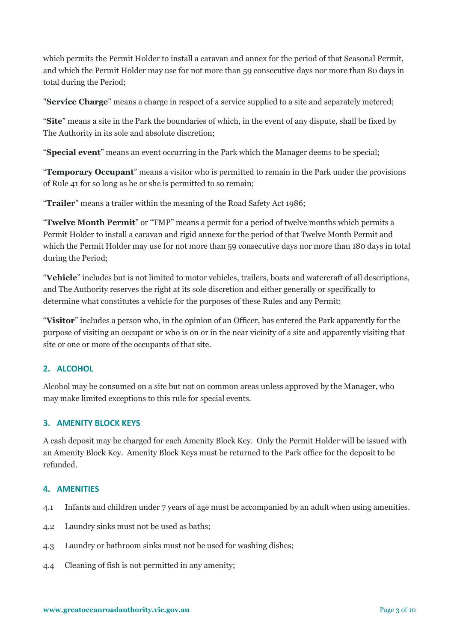which permits the Permit Holder to install a caravan and annex for the period of that Seasonal Permit, and which the Permit Holder may use for not more than 59 consecutive days nor more than 80 days in total during the Period;

"**Service Charge**" means a charge in respect of a service supplied to a site and separately metered;

"**Site**" means a site in the Park the boundaries of which, in the event of any dispute, shall be fixed by The Authority in its sole and absolute discretion;

"**Special event**" means an event occurring in the Park which the Manager deems to be special;

"**Temporary Occupant**" means a visitor who is permitted to remain in the Park under the provisions of Rule 41 for so long as he or she is permitted to so remain;

"**Trailer**" means a trailer within the meaning of the Road Safety Act 1986;

"**Twelve Month Permit**" or "TMP" means a permit for a period of twelve months which permits a Permit Holder to install a caravan and rigid annexe for the period of that Twelve Month Permit and which the Permit Holder may use for not more than 59 consecutive days nor more than 180 days in total during the Period;

"**Vehicle**" includes but is not limited to motor vehicles, trailers, boats and watercraft of all descriptions, and The Authority reserves the right at its sole discretion and either generally or specifically to determine what constitutes a vehicle for the purposes of these Rules and any Permit;

"**Visitor**" includes a person who, in the opinion of an Officer, has entered the Park apparently for the purpose of visiting an occupant or who is on or in the near vicinity of a site and apparently visiting that site or one or more of the occupants of that site.

# **2. ALCOHOL**

Alcohol may be consumed on a site but not on common areas unless approved by the Manager, who may make limited exceptions to this rule for special events.

# **3. AMENITY BLOCK KEYS**

A cash deposit may be charged for each Amenity Block Key. Only the Permit Holder will be issued with an Amenity Block Key. Amenity Block Keys must be returned to the Park office for the deposit to be refunded.

# **4. AMENITIES**

- 4.1 Infants and children under 7 years of age must be accompanied by an adult when using amenities.
- 4.2 Laundry sinks must not be used as baths;
- 4.3 Laundry or bathroom sinks must not be used for washing dishes;
- 4.4 Cleaning of fish is not permitted in any amenity;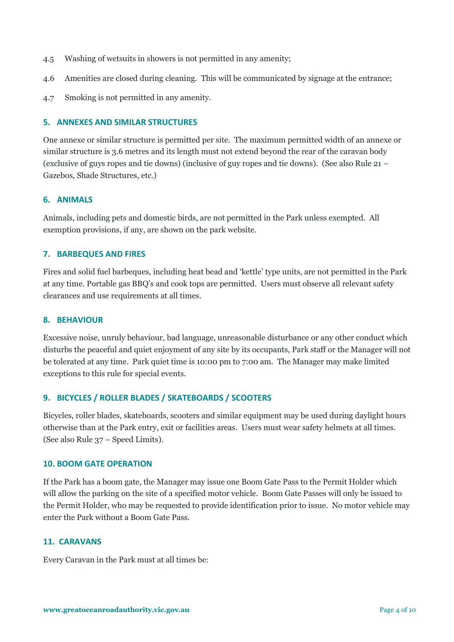- 4.5 Washing of wetsuits in showers is not permitted in any amenity;
- 4.6 Amenities are closed during cleaning. This will be communicated by signage at the entrance;
- 4.7 Smoking is not permitted in any amenity.

#### **5. ANNEXES AND SIMILAR STRUCTURES**

One annexe or similar structure is permitted per site. The maximum permitted width of an annexe or similar structure is 3.6 metres and its length must not extend beyond the rear of the caravan body (exclusive of guys ropes and tie downs) (inclusive of guy ropes and tie downs). (See also Rule 21 – Gazebos, Shade Structures, etc.)

#### **6. ANIMALS**

Animals, including pets and domestic birds, are not permitted in the Park unless exempted. All exemption provisions, if any, are shown on the park website.

#### **7. BARBEQUES AND FIRES**

Fires and solid fuel barbeques, including heat bead and 'kettle' type units, are not permitted in the Park at any time. Portable gas BBQ's and cook tops are permitted. Users must observe all relevant safety clearances and use requirements at all times.

#### **8. BEHAVIOUR**

Excessive noise, unruly behaviour, bad language, unreasonable disturbance or any other conduct which disturbs the peaceful and quiet enjoyment of any site by its occupants, Park staff or the Manager will not be tolerated at any time. Park quiet time is 10:00 pm to 7:00 am. The Manager may make limited exceptions to this rule for special events.

# **9. BICYCLES / ROLLER BLADES / SKATEBOARDS / SCOOTERS**

Bicycles, roller blades, skateboards, scooters and similar equipment may be used during daylight hours otherwise than at the Park entry, exit or facilities areas. Users must wear safety helmets at all times. (See also Rule 37 – Speed Limits).

#### **10. BOOM GATE OPERATION**

If the Park has a boom gate, the Manager may issue one Boom Gate Pass to the Permit Holder which will allow the parking on the site of a specified motor vehicle. Boom Gate Passes will only be issued to the Permit Holder, who may be requested to provide identification prior to issue. No motor vehicle may enter the Park without a Boom Gate Pass.

#### **11. CARAVANS**

Every Caravan in the Park must at all times be: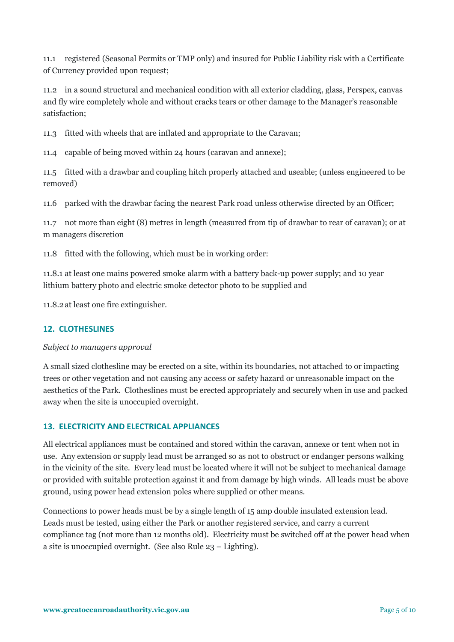11.1 registered (Seasonal Permits or TMP only) and insured for Public Liability risk with a Certificate of Currency provided upon request;

11.2 in a sound structural and mechanical condition with all exterior cladding, glass, Perspex, canvas and fly wire completely whole and without cracks tears or other damage to the Manager's reasonable satisfaction;

11.3 fitted with wheels that are inflated and appropriate to the Caravan;

11.4 capable of being moved within 24 hours (caravan and annexe);

11.5 fitted with a drawbar and coupling hitch properly attached and useable; (unless engineered to be removed)

11.6 parked with the drawbar facing the nearest Park road unless otherwise directed by an Officer;

11.7 not more than eight (8) metres in length (measured from tip of drawbar to rear of caravan); or at m managers discretion

11.8 fitted with the following, which must be in working order:

11.8.1 at least one mains powered smoke alarm with a battery back-up power supply; and 10 year lithium battery photo and electric smoke detector photo to be supplied and

11.8.2at least one fire extinguisher.

# **12. CLOTHESLINES**

# *Subject to managers approval*

A small sized clothesline may be erected on a site, within its boundaries, not attached to or impacting trees or other vegetation and not causing any access or safety hazard or unreasonable impact on the aesthetics of the Park. Clotheslines must be erected appropriately and securely when in use and packed away when the site is unoccupied overnight.

# **13. ELECTRICITY AND ELECTRICAL APPLIANCES**

All electrical appliances must be contained and stored within the caravan, annexe or tent when not in use. Any extension or supply lead must be arranged so as not to obstruct or endanger persons walking in the vicinity of the site. Every lead must be located where it will not be subject to mechanical damage or provided with suitable protection against it and from damage by high winds. All leads must be above ground, using power head extension poles where supplied or other means.

Connections to power heads must be by a single length of 15 amp double insulated extension lead. Leads must be tested, using either the Park or another registered service, and carry a current compliance tag (not more than 12 months old). Electricity must be switched off at the power head when a site is unoccupied overnight. (See also Rule 23 – Lighting).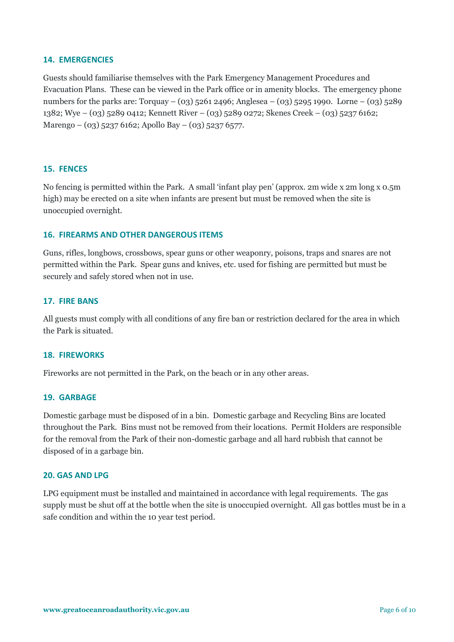#### **14. EMERGENCIES**

Guests should familiarise themselves with the Park Emergency Management Procedures and Evacuation Plans. These can be viewed in the Park office or in amenity blocks. The emergency phone numbers for the parks are: Torquay – (03) 5261 2496; Anglesea – (03) 5295 1990. Lorne – (03) 5289 1382; Wye – (03) 5289 0412; Kennett River – (03) 5289 0272; Skenes Creek – (03) 5237 6162; Marengo – (03) 5237 6162; Apollo Bay – (03) 5237 6577.

#### **15. FENCES**

No fencing is permitted within the Park. A small 'infant play pen' (approx. 2m wide x 2m long x 0.5m high) may be erected on a site when infants are present but must be removed when the site is unoccupied overnight.

#### **16. FIREARMS AND OTHER DANGEROUS ITEMS**

Guns, rifles, longbows, crossbows, spear guns or other weaponry, poisons, traps and snares are not permitted within the Park. Spear guns and knives, etc. used for fishing are permitted but must be securely and safely stored when not in use.

#### **17. FIRE BANS**

All guests must comply with all conditions of any fire ban or restriction declared for the area in which the Park is situated.

#### **18. FIREWORKS**

Fireworks are not permitted in the Park, on the beach or in any other areas.

#### **19. GARBAGE**

Domestic garbage must be disposed of in a bin. Domestic garbage and Recycling Bins are located throughout the Park. Bins must not be removed from their locations. Permit Holders are responsible for the removal from the Park of their non-domestic garbage and all hard rubbish that cannot be disposed of in a garbage bin.

#### **20. GAS AND LPG**

LPG equipment must be installed and maintained in accordance with legal requirements. The gas supply must be shut off at the bottle when the site is unoccupied overnight. All gas bottles must be in a safe condition and within the 10 year test period.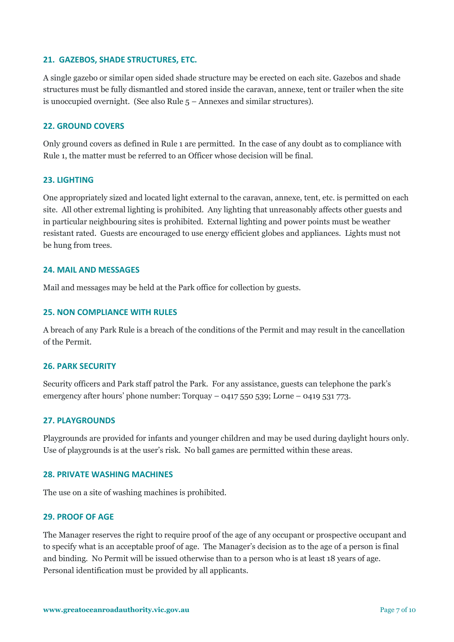#### **21. GAZEBOS, SHADE STRUCTURES, ETC.**

A single gazebo or similar open sided shade structure may be erected on each site. Gazebos and shade structures must be fully dismantled and stored inside the caravan, annexe, tent or trailer when the site is unoccupied overnight. (See also Rule 5 – Annexes and similar structures).

#### **22. GROUND COVERS**

Only ground covers as defined in Rule 1 are permitted. In the case of any doubt as to compliance with Rule 1, the matter must be referred to an Officer whose decision will be final.

#### **23. LIGHTING**

One appropriately sized and located light external to the caravan, annexe, tent, etc. is permitted on each site. All other extremal lighting is prohibited. Any lighting that unreasonably affects other guests and in particular neighbouring sites is prohibited. External lighting and power points must be weather resistant rated. Guests are encouraged to use energy efficient globes and appliances. Lights must not be hung from trees.

#### **24. MAIL AND MESSAGES**

Mail and messages may be held at the Park office for collection by guests.

#### **25. NON COMPLIANCE WITH RULES**

A breach of any Park Rule is a breach of the conditions of the Permit and may result in the cancellation of the Permit.

#### **26. PARK SECURITY**

Security officers and Park staff patrol the Park. For any assistance, guests can telephone the park's emergency after hours' phone number: Torquay – 0417 550 539; Lorne – 0419 531 773.

#### **27. PLAYGROUNDS**

Playgrounds are provided for infants and younger children and may be used during daylight hours only. Use of playgrounds is at the user's risk. No ball games are permitted within these areas.

#### **28. PRIVATE WASHING MACHINES**

The use on a site of washing machines is prohibited.

#### **29. PROOF OF AGE**

The Manager reserves the right to require proof of the age of any occupant or prospective occupant and to specify what is an acceptable proof of age. The Manager's decision as to the age of a person is final and binding. No Permit will be issued otherwise than to a person who is at least 18 years of age. Personal identification must be provided by all applicants.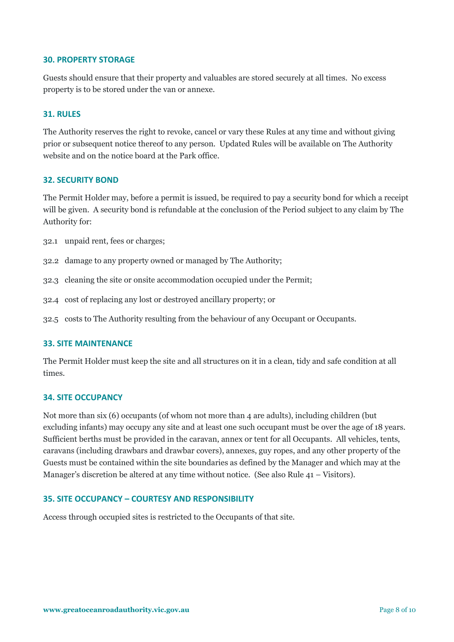#### **30. PROPERTY STORAGE**

Guests should ensure that their property and valuables are stored securely at all times. No excess property is to be stored under the van or annexe.

#### **31. RULES**

The Authority reserves the right to revoke, cancel or vary these Rules at any time and without giving prior or subsequent notice thereof to any person. Updated Rules will be available on The Authority website and on the notice board at the Park office.

#### **32. SECURITY BOND**

The Permit Holder may, before a permit is issued, be required to pay a security bond for which a receipt will be given. A security bond is refundable at the conclusion of the Period subject to any claim by The Authority for:

- 32.1 unpaid rent, fees or charges;
- 32.2 damage to any property owned or managed by The Authority;
- 32.3 cleaning the site or onsite accommodation occupied under the Permit;
- 32.4 cost of replacing any lost or destroyed ancillary property; or
- 32.5 costs to The Authority resulting from the behaviour of any Occupant or Occupants.

#### **33. SITE MAINTENANCE**

The Permit Holder must keep the site and all structures on it in a clean, tidy and safe condition at all times.

#### **34. SITE OCCUPANCY**

Not more than six (6) occupants (of whom not more than 4 are adults), including children (but excluding infants) may occupy any site and at least one such occupant must be over the age of 18 years. Sufficient berths must be provided in the caravan, annex or tent for all Occupants. All vehicles, tents, caravans (including drawbars and drawbar covers), annexes, guy ropes, and any other property of the Guests must be contained within the site boundaries as defined by the Manager and which may at the Manager's discretion be altered at any time without notice. (See also Rule 41 – Visitors).

#### **35. SITE OCCUPANCY – COURTESY AND RESPONSIBILITY**

Access through occupied sites is restricted to the Occupants of that site.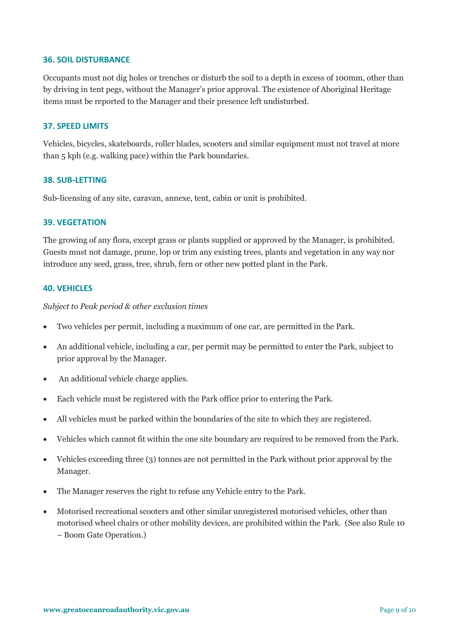#### **36. SOIL DISTURBANCE**

Occupants must not dig holes or trenches or disturb the soil to a depth in excess of 100mm, other than by driving in tent pegs, without the Manager's prior approval. The existence of Aboriginal Heritage items must be reported to the Manager and their presence left undisturbed.

#### **37. SPEED LIMITS**

Vehicles, bicycles, skateboards, roller blades, scooters and similar equipment must not travel at more than 5 kph (e.g. walking pace) within the Park boundaries.

#### **38. SUB-LETTING**

Sub-licensing of any site, caravan, annexe, tent, cabin or unit is prohibited.

#### **39. VEGETATION**

The growing of any flora, except grass or plants supplied or approved by the Manager, is prohibited. Guests must not damage, prune, lop or trim any existing trees, plants and vegetation in any way nor introduce any seed, grass, tree, shrub, fern or other new potted plant in the Park.

#### **40. VEHICLES**

*Subject to Peak period & other exclusion times*

- Two vehicles per permit, including a maximum of one car, are permitted in the Park.
- An additional vehicle, including a car, per permit may be permitted to enter the Park, subject to prior approval by the Manager.
- An additional vehicle charge applies.
- Each vehicle must be registered with the Park office prior to entering the Park.
- All vehicles must be parked within the boundaries of the site to which they are registered.
- Vehicles which cannot fit within the one site boundary are required to be removed from the Park.
- Vehicles exceeding three (3) tonnes are not permitted in the Park without prior approval by the Manager.
- The Manager reserves the right to refuse any Vehicle entry to the Park.
- Motorised recreational scooters and other similar unregistered motorised vehicles, other than motorised wheel chairs or other mobility devices, are prohibited within the Park. (See also Rule 10 – Boom Gate Operation.)